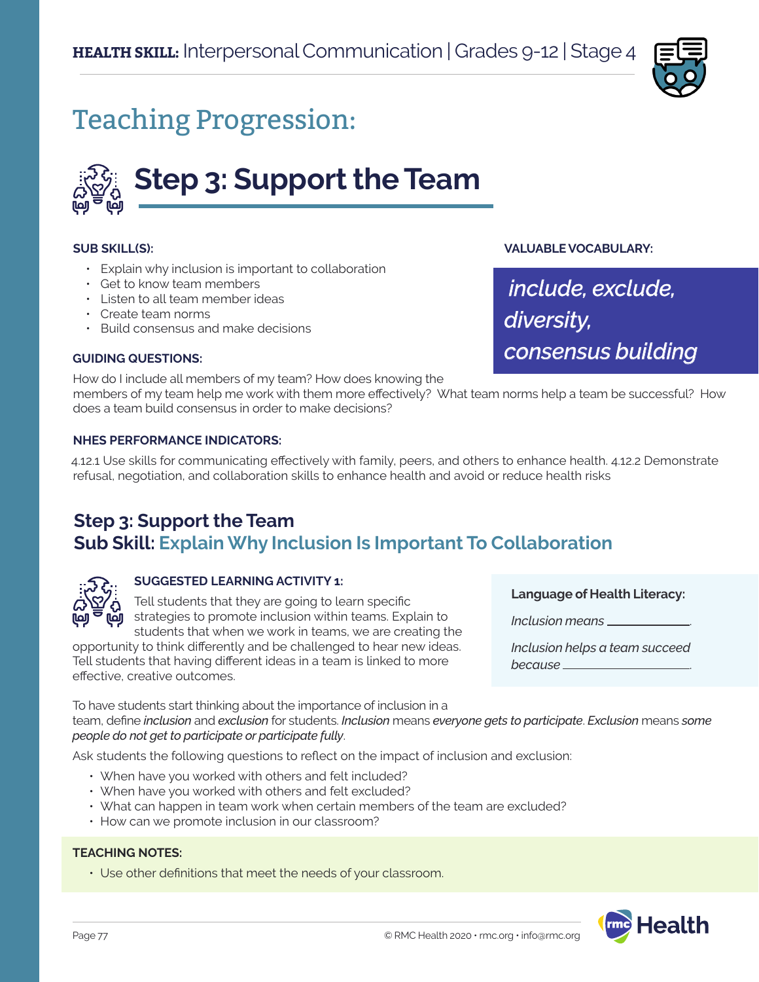

# Teaching Progression:



#### **SUB SKILL(S):**

- Explain why inclusion is important to collaboration
- Get to know team members
- Listen to all team member ideas
- Create team norms
- Build consensus and make decisions

#### **GUIDING QUESTIONS:**

How do I include all members of my team? How does knowing the

members of my team help me work with them more effectively? What team norms help a team be successful? How does a team build consensus in order to make decisions?

#### **NHES PERFORMANCE INDICATORS:**

4.12.1 Use skills for communicating effectively with family, peers, and others to enhance health. 4.12.2 Demonstrate refusal, negotiation, and collaboration skills to enhance health and avoid or reduce health risks

### **Step 3: Support the Team Sub Skill: Explain Why Inclusion Is Important To Collaboration**



#### **SUGGESTED LEARNING ACTIVITY 1:**

Tell students that they are going to learn specific strategies to promote inclusion within teams. Explain to students that when we work in teams, we are creating the

opportunity to think differently and be challenged to hear new ideas. Tell students that having different ideas in a team is linked to more effective, creative outcomes.

To have students start thinking about the importance of inclusion in a team, define *inclusion* and *exclusion* for students. *Inclusion* means *everyone gets to participate*. *Exclusion* means *some people do not get to participate or participate fully*.

Ask students the following questions to reflect on the impact of inclusion and exclusion:

- When have you worked with others and felt included?
- When have you worked with others and felt excluded?
- What can happen in team work when certain members of the team are excluded?
- How can we promote inclusion in our classroom?

#### **TEACHING NOTES:**

• Use other definitions that meet the needs of your classroom.

**Language of Health Literacy:**

*Inclusion means* .

**VALUABLE VOCABULARY:**

*diversity,* 

 *include, exclude,* 

*consensus building*

*Inclusion helps a team succeed because* .

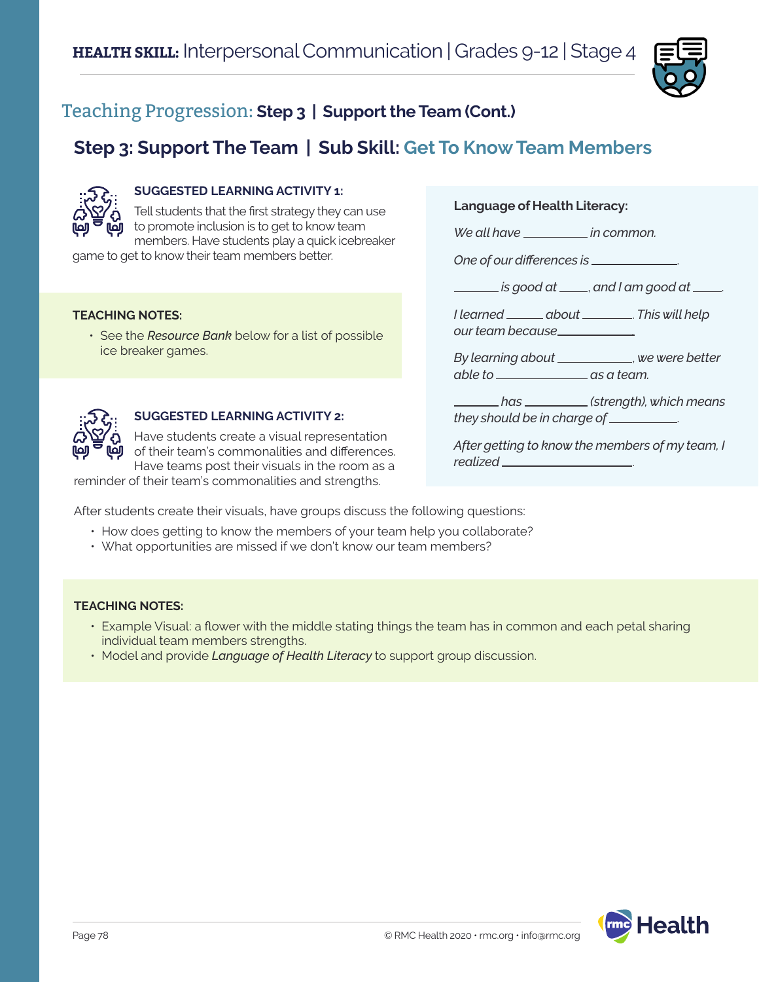

## **Step 3: Support The Team | Sub Skill: Get To Know Team Members**



#### **SUGGESTED LEARNING ACTIVITY 1:**

Tell students that the first strategy they can use to promote inclusion is to get to know team members. Have students play a quick icebreaker

game to get to know their team members better.

#### **TEACHING NOTES:**

• See the *Resource Bank* below for a list of possible ice breaker games.



#### **SUGGESTED LEARNING ACTIVITY 2:**

Have students create a visual representation of their team's commonalities and differences. Have teams post their visuals in the room as a

reminder of their team's commonalities and strengths.

After students create their visuals, have groups discuss the following questions:

- How does getting to know the members of your team help you collaborate?
- What opportunities are missed if we don't know our team members?

#### **TEACHING NOTES:**

- Example Visual: a flower with the middle stating things the team has in common and each petal sharing individual team members strengths.
- Model and provide *Language of Health Literacy* to support group discussion.

# **lealth**

**Language of Health Literacy:**

*We all have in common.* 

*One of our differences is* .

 *is good at* , *and I am good at* .

*I* learned \_\_\_\_\_\_\_ about \_\_\_\_\_\_\_\_\_. This will help *our team because .*

*By learning about* , *we were better able to* \_\_\_\_\_\_\_\_\_\_\_\_\_\_\_\_\_\_\_ as a team.

 *has (strength), which means they should be in charge of* .

*After getting to know the members of my team, I realized* .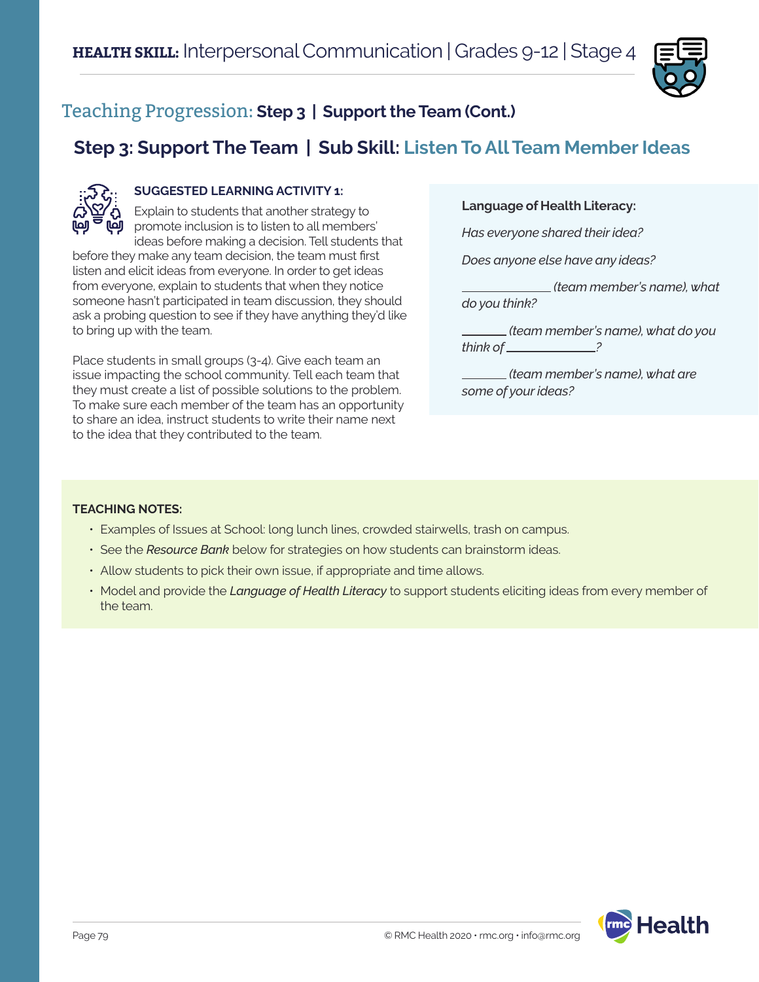

## **Step 3: Support The Team | Sub Skill: Listen To All Team Member Ideas**



#### **SUGGESTED LEARNING ACTIVITY 1:**

Explain to students that another strategy to promote inclusion is to listen to all members' ideas before making a decision. Tell students that

before they make any team decision, the team must first listen and elicit ideas from everyone. In order to get ideas from everyone, explain to students that when they notice someone hasn't participated in team discussion, they should ask a probing question to see if they have anything they'd like to bring up with the team.

Place students in small groups (3-4). Give each team an issue impacting the school community. Tell each team that they must create a list of possible solutions to the problem. To make sure each member of the team has an opportunity to share an idea, instruct students to write their name next to the idea that they contributed to the team.

#### **Language of Health Literacy:**

*Has everyone shared their idea?*

*Does anyone else have any ideas?*

 *(team member's name), what do you think?*

 *(team member's name), what do you think of ?*

 *(team member's name), what are some of your ideas?*

#### **TEACHING NOTES:**

- Examples of Issues at School: long lunch lines, crowded stairwells, trash on campus.
- See the *Resource Bank* below for strategies on how students can brainstorm ideas.
- Allow students to pick their own issue, if appropriate and time allows.
- Model and provide the *Language of Health Literacy* to support students eliciting ideas from every member of the team.

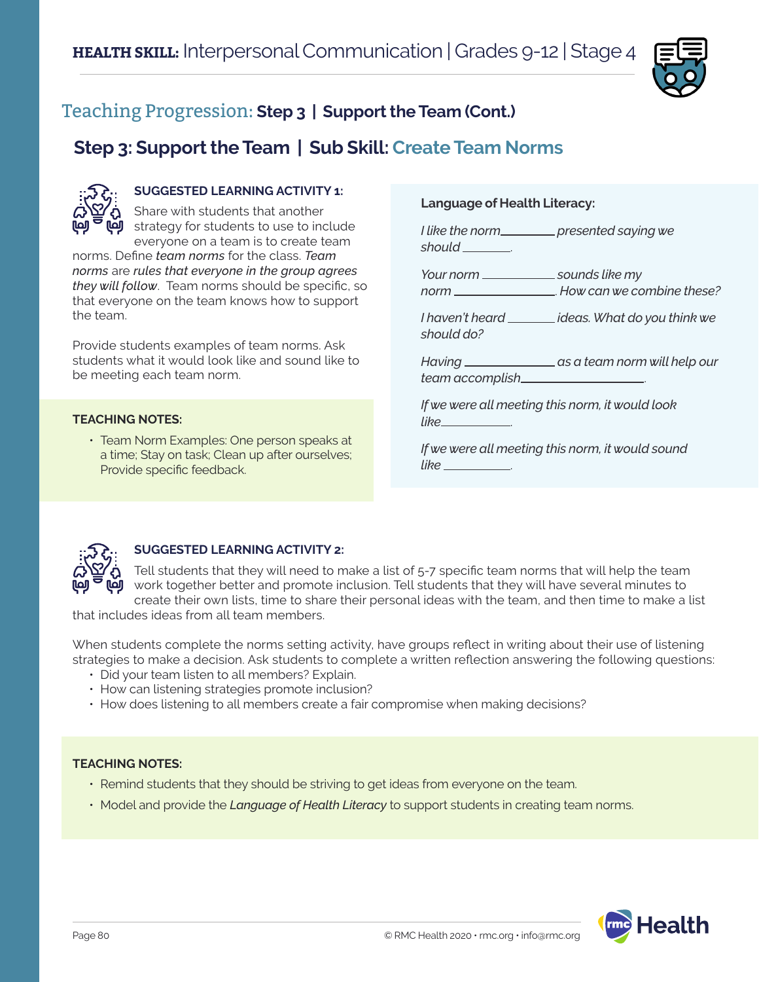

### **Step 3: Support the Team | Sub Skill: Create Team Norms**



#### **SUGGESTED LEARNING ACTIVITY 1:**

Share with students that another **J** strategy for students to use to include everyone on a team is to create team

norms. Define *team norms* for the class. *Team norms* are *rules that everyone in the group agrees they will follow*. Team norms should be specific, so that everyone on the team knows how to support the team.

Provide students examples of team norms. Ask students what it would look like and sound like to be meeting each team norm.

#### **TEACHING NOTES:**

• Team Norm Examples: One person speaks at a time; Stay on task; Clean up after ourselves; Provide specific feedback.

#### **Language of Health Literacy:**

*I* like the norm\_\_\_\_\_\_\_\_\_ presented saying we *should* .

*Your norm* \_\_\_\_\_\_\_\_\_\_\_\_\_\_\_ sounds like my *norm* . *How can we combine these?*

*I haven't heard* \_\_\_\_\_\_\_\_ *ideas. What do you think we should do?*

*Having as a team norm will help our team accomplish* .

*If we were all meeting this norm, it would look like* .

*If we were all meeting this norm, it would sound like* .



#### **SUGGESTED LEARNING ACTIVITY 2:**

Tell students that they will need to make a list of 5-7 specific team norms that will help the team work together better and promote inclusion. Tell students that they will have several minutes to create their own lists, time to share their personal ideas with the team, and then time to make a list

that includes ideas from all team members.

When students complete the norms setting activity, have groups reflect in writing about their use of listening strategies to make a decision. Ask students to complete a written reflection answering the following questions:

- Did your team listen to all members? Explain.
- How can listening strategies promote inclusion?
- How does listening to all members create a fair compromise when making decisions?

#### **TEACHING NOTES:**

- Remind students that they should be striving to get ideas from everyone on the team.
- Model and provide the *Language of Health Literacy* to support students in creating team norms.

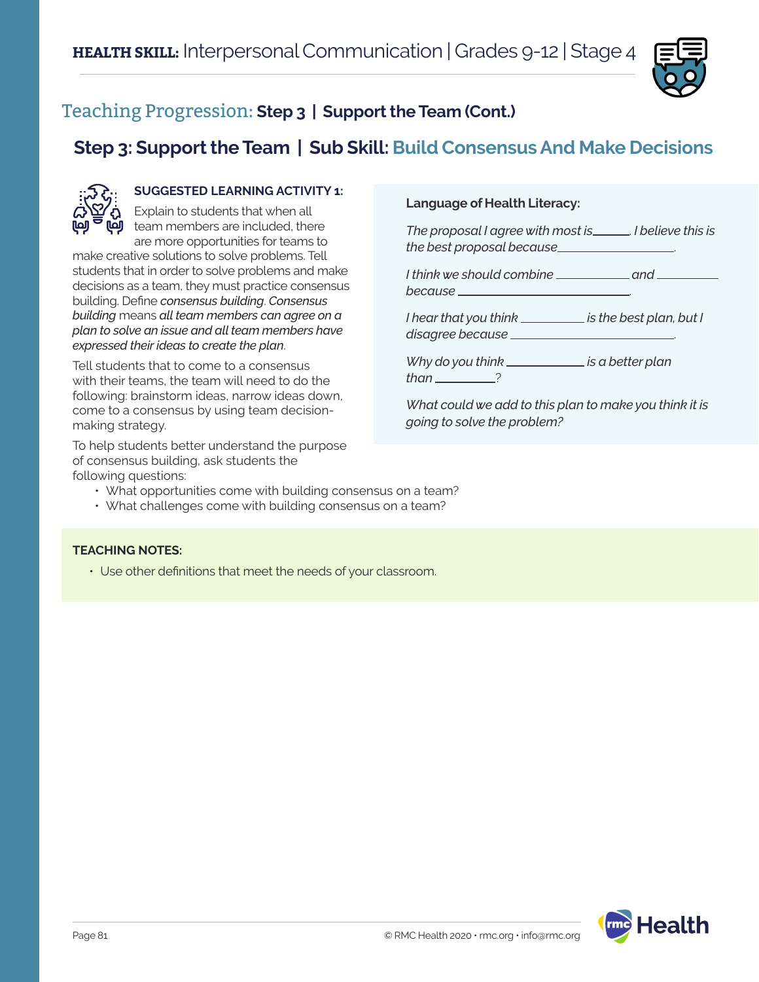

# **Step 3: Support the Team | Sub Skill: Build Consensus And Make Decisions**



#### **SUGGESTED LEARNING ACTIVITY 1:**

Explain to students that when all  $\mathbf{\ddot{y}}$  team members are included, there are more opportunities for teams to

make creative solutions to solve problems. Tell students that in order to solve problems and make decisions as a team, they must practice consensus building. Define *consensus building*. *Consensus building* means *all team members can agree on a plan to solve an issue and all team members have expressed their ideas to create the plan*.

Tell students that to come to a consensus with their teams, the team will need to do the following: brainstorm ideas, narrow ideas down, come to a consensus by using team decisionmaking strategy.

To help students better understand the purpose of consensus building, ask students the following questions:

#### **Language of Health Literacy:**

*The proposal I agree with most is* . *I believe this is the best proposal because* .

*I think we should combine* <u>and</u> and <u>and</u> *because* .

*I* hear that you think \_\_\_\_\_\_\_\_\_\_ is the best plan, but I *disagree because* .

*Why do you think \_\_\_\_\_\_\_\_\_\_\_\_\_ is a better plan than* 2

*What could we add to this plan to make you think it is going to solve the problem?*

- What opportunities come with building consensus on a team?
- What challenges come with building consensus on a team?

#### **TEACHING NOTES:**

• Use other definitions that meet the needs of your classroom.